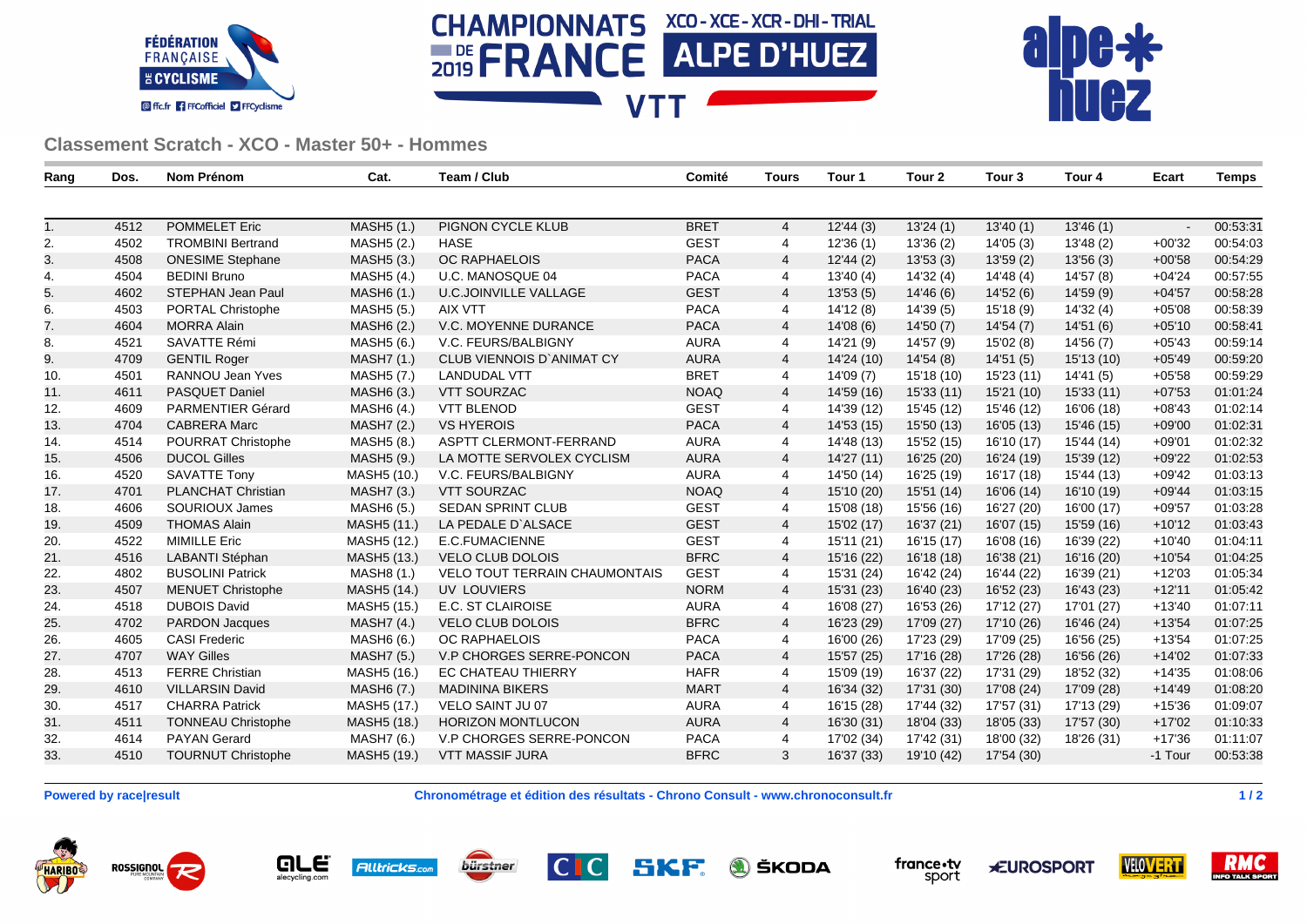





## **Classement Scratch - XCO - Master 50+ - Hommes**

| Rang | Dos. | Nom Prénom                | Cat.                    | Team / Club                          | Comité      | Tours          | Tour 1     | Tour 2     | Tour 3     | Tour 4     | Ecart    | Temps    |
|------|------|---------------------------|-------------------------|--------------------------------------|-------------|----------------|------------|------------|------------|------------|----------|----------|
|      |      |                           |                         |                                      |             |                |            |            |            |            |          |          |
| 1.   | 4512 | <b>POMMELET Eric</b>      | MASH5 (1.)              | PIGNON CYCLE KLUB                    | <b>BRET</b> | $\overline{4}$ | 12'44(3)   | 13'24(1)   | 13'40(1)   | 13'46(1)   | $\sim$   | 00:53:31 |
| 2.   | 4502 | <b>TROMBINI Bertrand</b>  | MASH <sub>5</sub> (2.)  | <b>HASE</b>                          | <b>GEST</b> | 4              | 12'36(1)   | 13'36 (2)  | 14'05(3)   | 13'48(2)   | $+00'32$ | 00:54:03 |
| 3.   | 4508 | <b>ONESIME Stephane</b>   | MASH <sub>5</sub> (3.)  | OC RAPHAELOIS                        | <b>PACA</b> | $\overline{4}$ | 12'44(2)   | 13'53(3)   | 13'59(2)   | 13'56(3)   | $+00'58$ | 00:54:29 |
| 4.   | 4504 | <b>BEDINI Bruno</b>       | MASH5 (4.)              | U.C. MANOSQUE 04                     | <b>PACA</b> | $\overline{4}$ | 13'40(4)   | 14'32 (4)  | 14'48(4)   | 14'57 (8)  | $+04'24$ | 00:57:55 |
| 5.   | 4602 | STEPHAN Jean Paul         | MASH6 (1.)              | <b>U.C.JOINVILLE VALLAGE</b>         | <b>GEST</b> | $\overline{4}$ | 13'53(5)   | 14'46(6)   | 14'52(6)   | 14'59 (9)  | $+04'57$ | 00:58:28 |
| 6.   | 4503 | PORTAL Christophe         | MASH <sub>5</sub> (5.)  | <b>AIX VTT</b>                       | <b>PACA</b> | 4              | 14'12(8)   | 14'39 (5)  | 15'18(9)   | 14'32 (4)  | $+05'08$ | 00:58:39 |
| 7.   | 4604 | <b>MORRA Alain</b>        | MASH <sub>6</sub> (2.)  | V.C. MOYENNE DURANCE                 | <b>PACA</b> | $\overline{4}$ | 14'08(6)   | 14'50 (7)  | 14'54 (7)  | 14'51 (6)  | $+05'10$ | 00:58:41 |
| 8.   | 4521 | SAVATTE Rémi              | MASH5 (6.)              | V.C. FEURS/BALBIGNY                  | <b>AURA</b> | 4              | 14'21 (9)  | 14'57 (9)  | 15'02(8)   | 14'56 (7)  | $+05'43$ | 00:59:14 |
| 9.   | 4709 | <b>GENTIL Roger</b>       | <b>MASH7 (1.)</b>       | <b>CLUB VIENNOIS D'ANIMAT CY</b>     | <b>AURA</b> | $\overline{4}$ | 14'24 (10) | 14'54 (8)  | 14'51(5)   | 15'13 (10) | $+05'49$ | 00:59:20 |
| 10.  | 4501 | RANNOU Jean Yves          | MASH <sub>5</sub> (7.)  | <b>LANDUDAL VTT</b>                  | <b>BRET</b> | 4              | 14'09 (7)  | 15'18 (10) | 15'23 (11) | 14'41 (5)  | $+05'58$ | 00:59:29 |
| 11.  | 4611 | PASQUET Daniel            | MASH6 (3.)              | <b>VTT SOURZAC</b>                   | <b>NOAQ</b> | $\overline{4}$ | 14'59 (16) | 15'33 (11) | 15'21 (10) | 15'33(11)  | $+07'53$ | 01:01:24 |
| 12.  | 4609 | PARMENTIER Gérard         | MASH6 (4.)              | <b>VTT BLENOD</b>                    | <b>GEST</b> | 4              | 14'39 (12) | 15'45 (12) | 15'46 (12) | 16'06 (18) | $+08'43$ | 01:02:14 |
| 13.  | 4704 | <b>CABRERA Marc</b>       | MASH7 (2.)              | <b>VS HYEROIS</b>                    | <b>PACA</b> | $\overline{4}$ | 14'53 (15) | 15'50 (13) | 16'05(13)  | 15'46 (15) | $+09'00$ | 01:02:31 |
| 14.  | 4514 | <b>POURRAT Christophe</b> | MASH5 (8.)              | ASPTT CLERMONT-FERRAND               | <b>AURA</b> | 4              | 14'48 (13) | 15'52 (15) | 16'10 (17) | 15'44 (14) | $+09'01$ | 01:02:32 |
| 15.  | 4506 | <b>DUCOL Gilles</b>       | MASH5 (9.)              | LA MOTTE SERVOLEX CYCLISM            | <b>AURA</b> | $\overline{4}$ | 14'27 (11) | 16'25 (20) | 16'24 (19) | 15'39 (12) | $+09'22$ | 01:02:53 |
| 16.  | 4520 | <b>SAVATTE Tony</b>       | MASH5 (10.)             | V.C. FEURS/BALBIGNY                  | <b>AURA</b> | 4              | 14'50 (14) | 16'25 (19) | 16'17 (18) | 15'44 (13) | $+09'42$ | 01:03:13 |
| 17.  | 4701 | <b>PLANCHAT Christian</b> | MASH7 (3.)              | <b>VTT SOURZAC</b>                   | <b>NOAQ</b> | $\overline{4}$ | 15'10 (20) | 15'51 (14) | 16'06 (14) | 16'10 (19) | $+09'44$ | 01:03:15 |
| 18.  | 4606 | SOURIOUX James            | MASH6 (5.)              | <b>SEDAN SPRINT CLUB</b>             | <b>GEST</b> | 4              | 15'08 (18) | 15'56 (16) | 16'27 (20) | 16'00 (17) | $+09'57$ | 01:03:28 |
| 19.  | 4509 | <b>THOMAS Alain</b>       | MASH <sub>5</sub> (11.) | LA PEDALE D'ALSACE                   | <b>GEST</b> | $\overline{4}$ | 15'02 (17) | 16'37 (21) | 16'07 (15) | 15'59 (16) | $+10'12$ | 01:03:43 |
| 20.  | 4522 | <b>MIMILLE Eric</b>       | MASH5 (12.)             | E.C.FUMACIENNE                       | <b>GEST</b> | 4              | 15'11 (21) | 16'15 (17) | 16'08 (16) | 16'39 (22) | $+10'40$ | 01:04:11 |
| 21.  | 4516 | <b>LABANTI Stéphan</b>    | MASH <sub>5</sub> (13.) | <b>VELO CLUB DOLOIS</b>              | <b>BFRC</b> | $\overline{4}$ | 15'16 (22) | 16'18 (18) | 16'38 (21) | 16'16 (20) | $+10'54$ | 01:04:25 |
| 22.  | 4802 | <b>BUSOLINI Patrick</b>   | MASH8 (1.)              | <b>VELO TOUT TERRAIN CHAUMONTAIS</b> | <b>GEST</b> | 4              | 15'31 (24) | 16'42 (24) | 16'44 (22) | 16'39 (21) | $+12'03$ | 01:05:34 |
| 23.  | 4507 | <b>MENUET Christophe</b>  | MASH <sub>5</sub> (14.) | <b>UV LOUVIERS</b>                   | <b>NORM</b> | 4              | 15'31 (23) | 16'40 (23) | 16'52 (23) | 16'43 (23) | $+12'11$ | 01:05:42 |
| 24.  | 4518 | <b>DUBOIS David</b>       | MASH5 (15.)             | E.C. ST CLAIROISE                    | <b>AURA</b> | 4              | 16'08 (27) | 16'53 (26) | 17'12 (27) | 17'01 (27) | $+13'40$ | 01:07:11 |
| 25.  | 4702 | <b>PARDON Jacques</b>     | <b>MASH7 (4.)</b>       | <b>VELO CLUB DOLOIS</b>              | <b>BFRC</b> | $\overline{4}$ | 16'23 (29) | 17'09 (27) | 17'10 (26) | 16'46 (24) | $+13'54$ | 01:07:25 |
| 26.  | 4605 | <b>CASI Frederic</b>      | MASH6 (6.)              | <b>OC RAPHAELOIS</b>                 | <b>PACA</b> | 4              | 16'00 (26) | 17'23 (29) | 17'09 (25) | 16'56 (25) | $+13'54$ | 01:07:25 |
| 27.  | 4707 | <b>WAY Gilles</b>         | MASH7 (5.)              | V.P CHORGES SERRE-PONCON             | <b>PACA</b> | $\overline{4}$ | 15'57 (25) | 17'16 (28) | 17'26 (28) | 16'56 (26) | $+14'02$ | 01:07:33 |
| 28.  | 4513 | <b>FERRE Christian</b>    | MASH5 (16.)             | <b>EC CHATEAU THIERRY</b>            | <b>HAFR</b> | 4              | 15'09 (19) | 16'37 (22) | 17'31 (29) | 18'52 (32) | $+14'35$ | 01:08:06 |
| 29.  | 4610 | <b>VILLARSIN David</b>    | MASH6 (7.)              | <b>MADININA BIKERS</b>               | <b>MART</b> | $\overline{4}$ | 16'34 (32) | 17'31 (30) | 17'08 (24) | 17'09 (28) | $+14'49$ | 01:08:20 |
| 30.  | 4517 | <b>CHARRA Patrick</b>     | MASH <sub>5</sub> (17.) | VELO SAINT JU 07                     | <b>AURA</b> | 4              | 16'15 (28) | 17'44 (32) | 17'57 (31) | 17'13 (29) | $+15'36$ | 01:09:07 |
| 31.  | 4511 | <b>TONNEAU Christophe</b> | MASH <sub>5</sub> (18.) | <b>HORIZON MONTLUCON</b>             | <b>AURA</b> | $\overline{4}$ | 16'30 (31) | 18'04 (33) | 18'05 (33) | 17'57 (30) | $+17'02$ | 01:10:33 |
| 32.  | 4614 | <b>PAYAN Gerard</b>       | MASH7 (6.)              | V.P CHORGES SERRE-PONCON             | <b>PACA</b> | 4              | 17'02 (34) | 17'42 (31) | 18'00 (32) | 18'26 (31) | $+17'36$ | 01:11:07 |
| 33.  | 4510 | <b>TOURNUT Christophe</b> | MASH5 (19.)             | <b>VTT MASSIF JURA</b>               | <b>BFRC</b> | 3              | 16'37 (33) | 19'10 (42) | 17'54 (30) |            | -1 Tour  | 00:53:38 |
|      |      |                           |                         |                                      |             |                |            |            |            |            |          |          |

**Powered by race|result Chronométrage et édition des résultats - Chrono Consult - www.chronoconsult.fr 1 / 2**

**ROSSIGNOL HARIBO**